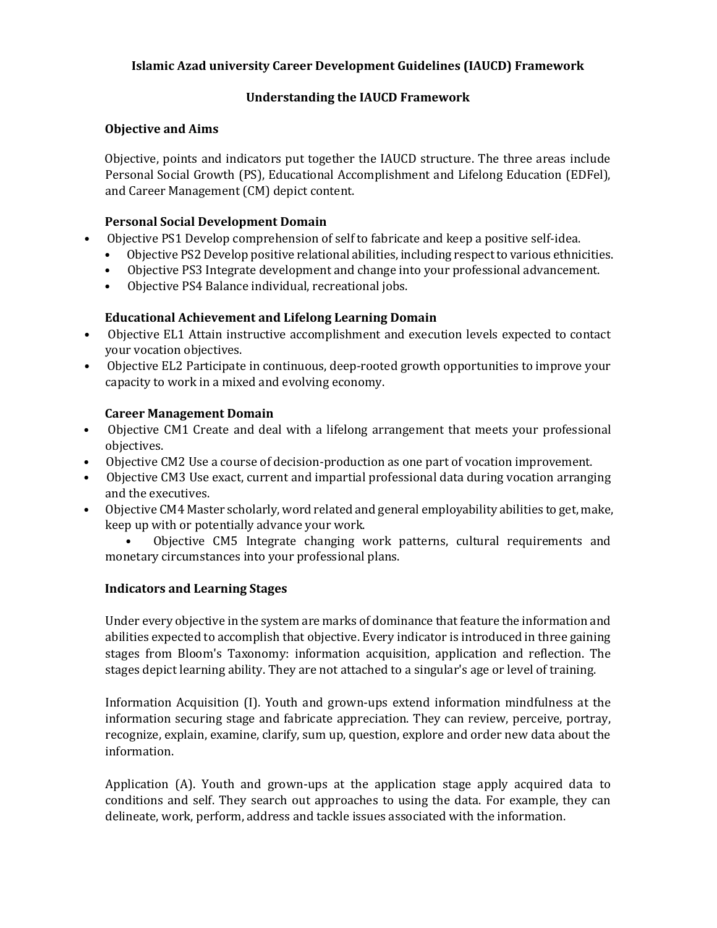## **Islamic Azad university Career Development Guidelines (IAUCD) Framework**

# **Understanding the IAUCD Framework**

## **Objective and Aims**

Objective, points and indicators put together the IAUCD structure. The three areas include Personal Social Growth (PS), Educational Accomplishment and Lifelong Education (EDFel), and Career Management (CM) depict content.

#### **Personal Social Development Domain**

- Objective PS1 Develop comprehension of self to fabricate and keep a positive self-idea.
	- Objective PS2 Develop positive relational abilities, including respect to various ethnicities.
	- Objective PS3 Integrate development and change into your professional advancement.
	- Objective PS4 Balance individual, recreational jobs.

## **Educational Achievement and Lifelong Learning Domain**

- Objective EL1 Attain instructive accomplishment and execution levels expected to contact your vocation objectives.
- Objective EL2 Participate in continuous, deep-rooted growth opportunities to improve your capacity to work in a mixed and evolving economy.

## **Career Management Domain**

- Objective CM1 Create and deal with a lifelong arrangement that meets your professional objectives.
- Objective CM2 Use a course of decision-production as one part of vocation improvement.
- Objective CM3 Use exact, current and impartial professional data during vocation arranging and the executives.
- Objective CM4 Master scholarly, word related and general employability abilities to get, make, keep up with or potentially advance your work.

• Objective CM5 Integrate changing work patterns, cultural requirements and monetary circumstances into your professional plans.

#### **Indicators and Learning Stages**

Under every objective in the system are marks of dominance that feature the information and abilities expected to accomplish that objective. Every indicator is introduced in three gaining stages from Bloom's Taxonomy: information acquisition, application and reflection. The stages depict learning ability. They are not attached to a singular's age or level of training.

Information Acquisition (I). Youth and grown-ups extend information mindfulness at the information securing stage and fabricate appreciation. They can review, perceive, portray, recognize, explain, examine, clarify, sum up, question, explore and order new data about the information.

Application (A). Youth and grown-ups at the application stage apply acquired data to conditions and self. They search out approaches to using the data. For example, they can delineate, work, perform, address and tackle issues associated with the information.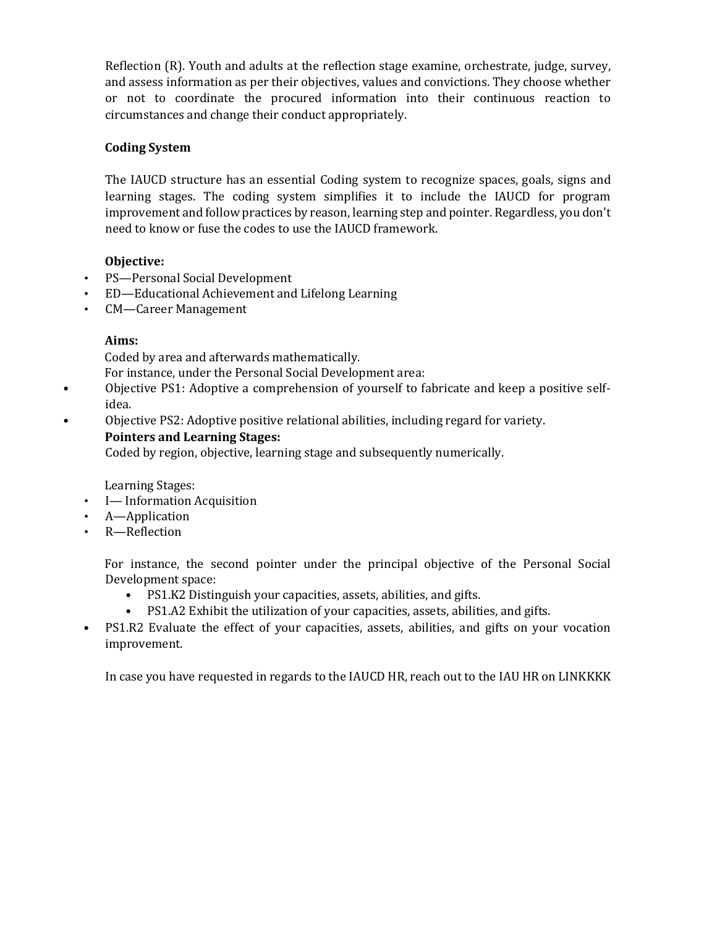Reflection (R). Youth and adults at the reflection stage examine, orchestrate, judge, survey, and assess information as per their objectives, values and convictions. They choose whether or not to coordinate the procured information into their continuous reaction to circumstances and change their conduct appropriately.

# **Coding System**

The IAUCD structure has an essential Coding system to recognize spaces, goals, signs and learning stages. The coding system simplifies it to include the IAUCD for program improvement and follow practices by reason, learning step and pointer. Regardless, you don't need to know or fuse the codes to use the IAUCD framework.

# **Objective:**

- PS—Personal Social Development
- ED—Educational Achievement and Lifelong Learning
- CM—Career Management

# **Aims:**

Coded by area and afterwards mathematically.

For instance, under the Personal Social Development area:

- Objective PS1: Adoptive a comprehension of yourself to fabricate and keep a positive selfidea.
- Objective PS2: Adoptive positive relational abilities, including regard for variety.

# **Pointers and Learning Stages:**

Coded by region, objective, learning stage and subsequently numerically.

Learning Stages:

- I Information Acquisition
- A—Application
- R—Reflection

For instance, the second pointer under the principal objective of the Personal Social Development space:

- PS1.K2 Distinguish your capacities, assets, abilities, and gifts.
- PS1.A2 Exhibit the utilization of your capacities, assets, abilities, and gifts.
- PS1.R2 Evaluate the effect of your capacities, assets, abilities, and gifts on your vocation improvement.

In case you have requested in regards to the IAUCD HR, reach out to the IAU HR on LINKKKK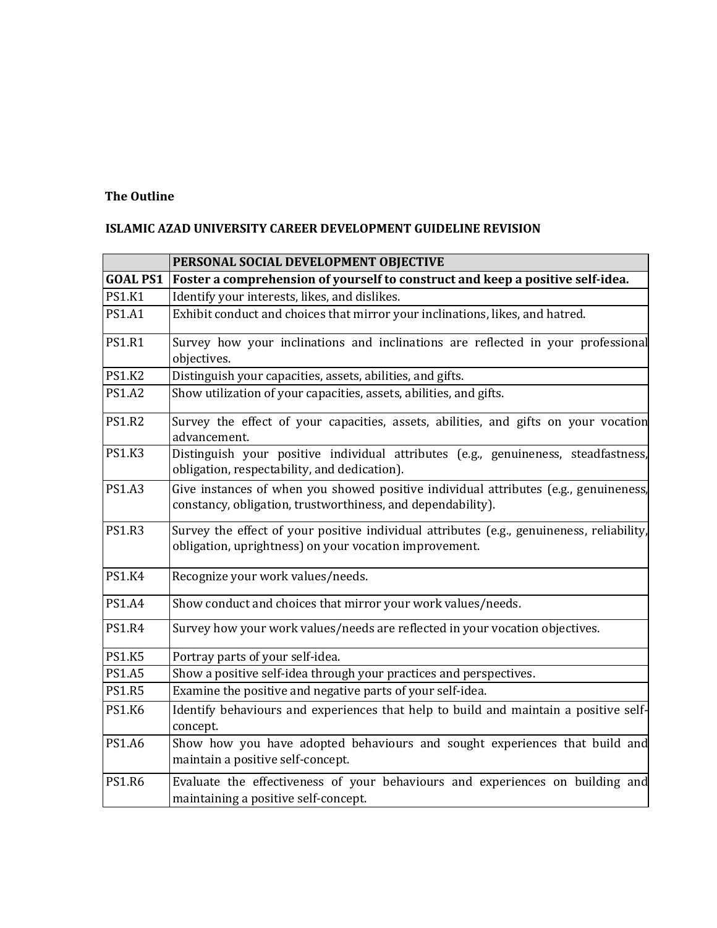# **The Outline**

# **ISLAMIC AZAD UNIVERSITY CAREER DEVELOPMENT GUIDELINE REVISION**

|                 | PERSONAL SOCIAL DEVELOPMENT OBJECTIVE                                                                                                               |
|-----------------|-----------------------------------------------------------------------------------------------------------------------------------------------------|
| <b>GOAL PS1</b> | Foster a comprehension of yourself to construct and keep a positive self-idea.                                                                      |
| <b>PS1.K1</b>   | Identify your interests, likes, and dislikes.                                                                                                       |
| <b>PS1.A1</b>   | Exhibit conduct and choices that mirror your inclinations, likes, and hatred.                                                                       |
| <b>PS1.R1</b>   | Survey how your inclinations and inclinations are reflected in your professional<br>objectives.                                                     |
| <b>PS1.K2</b>   | Distinguish your capacities, assets, abilities, and gifts.                                                                                          |
| <b>PS1.A2</b>   | Show utilization of your capacities, assets, abilities, and gifts.                                                                                  |
| <b>PS1.R2</b>   | Survey the effect of your capacities, assets, abilities, and gifts on your vocation<br>advancement.                                                 |
| <b>PS1.K3</b>   | Distinguish your positive individual attributes (e.g., genuineness, steadfastness,<br>obligation, respectability, and dedication).                  |
| <b>PS1.A3</b>   | Give instances of when you showed positive individual attributes (e.g., genuineness,<br>constancy, obligation, trustworthiness, and dependability). |
| <b>PS1.R3</b>   | Survey the effect of your positive individual attributes (e.g., genuineness, reliability,<br>obligation, uprightness) on your vocation improvement. |
| <b>PS1.K4</b>   | Recognize your work values/needs.                                                                                                                   |
| <b>PS1.A4</b>   | Show conduct and choices that mirror your work values/needs.                                                                                        |
| <b>PS1.R4</b>   | Survey how your work values/needs are reflected in your vocation objectives.                                                                        |
| <b>PS1.K5</b>   | Portray parts of your self-idea.                                                                                                                    |
| <b>PS1.A5</b>   | Show a positive self-idea through your practices and perspectives.                                                                                  |
| <b>PS1.R5</b>   | Examine the positive and negative parts of your self-idea.                                                                                          |
| <b>PS1.K6</b>   | Identify behaviours and experiences that help to build and maintain a positive self-<br>concept.                                                    |
| <b>PS1.A6</b>   | Show how you have adopted behaviours and sought experiences that build and<br>maintain a positive self-concept.                                     |
| <b>PS1.R6</b>   | Evaluate the effectiveness of your behaviours and experiences on building and<br>maintaining a positive self-concept.                               |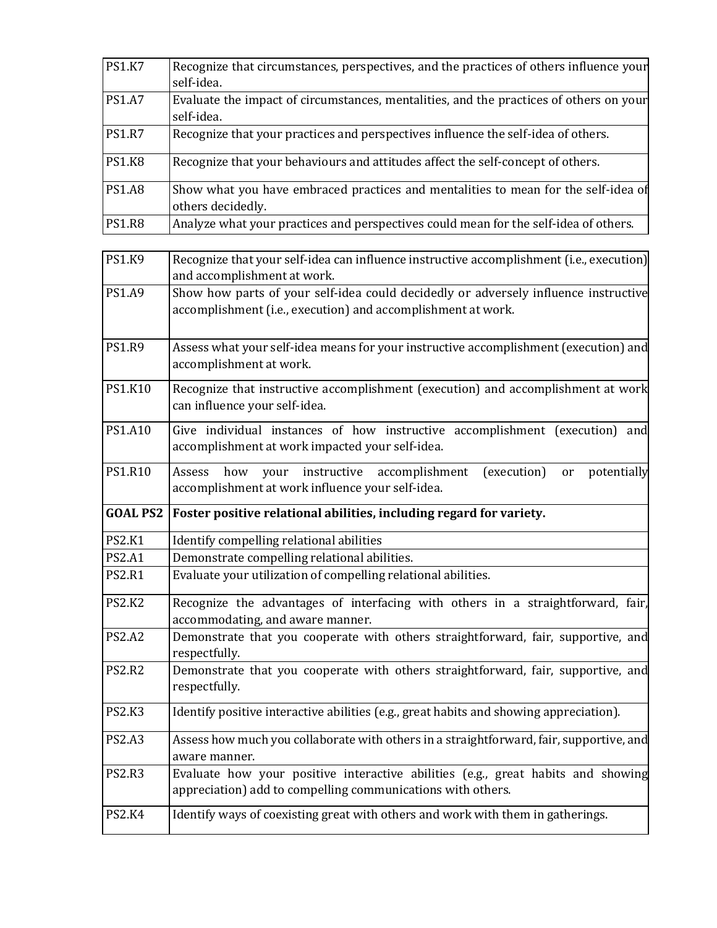| <b>PS1.K7</b> | Recognize that circumstances, perspectives, and the practices of others influence your<br>self-idea.    |
|---------------|---------------------------------------------------------------------------------------------------------|
| <b>PS1.A7</b> | Evaluate the impact of circumstances, mentalities, and the practices of others on your<br>self-idea.    |
| <b>PS1.R7</b> | Recognize that your practices and perspectives influence the self-idea of others.                       |
| <b>PS1.K8</b> | Recognize that your behaviours and attitudes affect the self-concept of others.                         |
| <b>PS1.A8</b> | Show what you have embraced practices and mentalities to mean for the self-idea of<br>others decidedly. |
| <b>PS1.R8</b> | Analyze what your practices and perspectives could mean for the self-idea of others.                    |

| <b>PS1.K9</b>   | Recognize that your self-idea can influence instructive accomplishment (i.e., execution)                                                            |
|-----------------|-----------------------------------------------------------------------------------------------------------------------------------------------------|
|                 | and accomplishment at work.                                                                                                                         |
| <b>PS1.A9</b>   | Show how parts of your self-idea could decidedly or adversely influence instructive<br>accomplishment (i.e., execution) and accomplishment at work. |
| <b>PS1.R9</b>   | Assess what your self-idea means for your instructive accomplishment (execution) and<br>accomplishment at work.                                     |
| PS1.K10         | Recognize that instructive accomplishment (execution) and accomplishment at work<br>can influence your self-idea.                                   |
| PS1.A10         | Give individual instances of how instructive accomplishment (execution) and<br>accomplishment at work impacted your self-idea.                      |
| <b>PS1.R10</b>  | Assess<br>how<br>instructive accomplishment<br>(execution)<br>potentially<br>your<br>or<br>accomplishment at work influence your self-idea.         |
| <b>GOAL PS2</b> | Foster positive relational abilities, including regard for variety.                                                                                 |
| <b>PS2.K1</b>   | Identify compelling relational abilities                                                                                                            |
| <b>PS2.A1</b>   | Demonstrate compelling relational abilities.                                                                                                        |
| <b>PS2.R1</b>   | Evaluate your utilization of compelling relational abilities.                                                                                       |
| <b>PS2.K2</b>   | Recognize the advantages of interfacing with others in a straightforward, fair,<br>accommodating, and aware manner.                                 |
| <b>PS2.A2</b>   | Demonstrate that you cooperate with others straightforward, fair, supportive, and<br>respectfully.                                                  |
| <b>PS2.R2</b>   | Demonstrate that you cooperate with others straightforward, fair, supportive, and<br>respectfully.                                                  |
| <b>PS2.K3</b>   | Identify positive interactive abilities (e.g., great habits and showing appreciation).                                                              |
| <b>PS2.A3</b>   | Assess how much you collaborate with others in a straightforward, fair, supportive, and<br>aware manner.                                            |
| <b>PS2.R3</b>   | Evaluate how your positive interactive abilities (e.g., great habits and showing<br>appreciation) add to compelling communications with others.     |
| <b>PS2.K4</b>   | Identify ways of coexisting great with others and work with them in gatherings.                                                                     |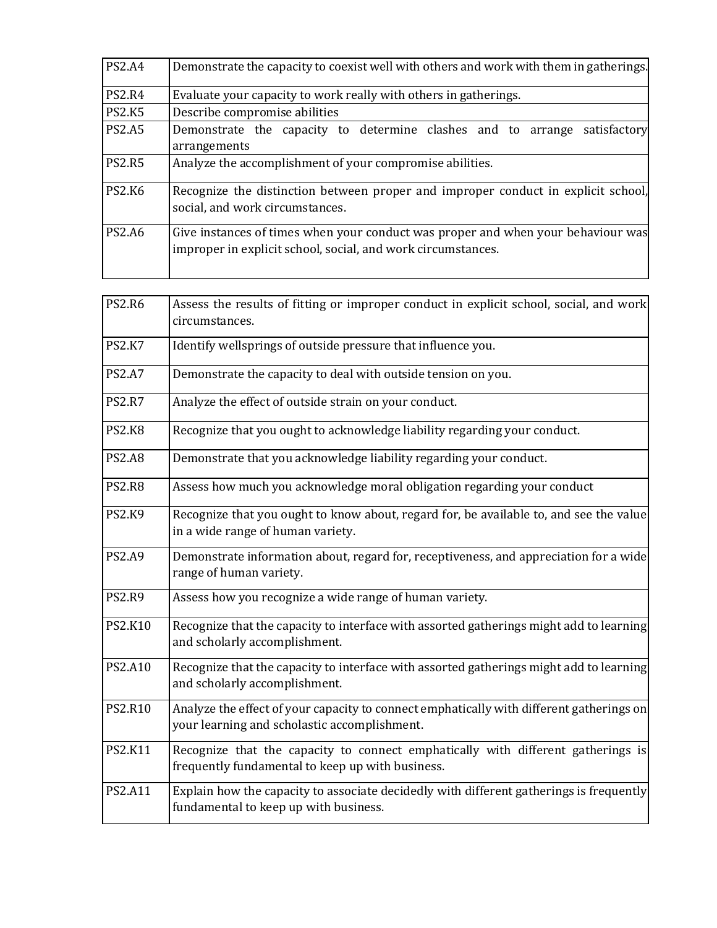| <b>PS2.A4</b> | Demonstrate the capacity to coexist well with others and work with them in gatherings.                                                           |
|---------------|--------------------------------------------------------------------------------------------------------------------------------------------------|
| <b>PS2.R4</b> | Evaluate your capacity to work really with others in gatherings.                                                                                 |
| <b>PS2.K5</b> | Describe compromise abilities                                                                                                                    |
| <b>PS2.A5</b> | Demonstrate the capacity to determine clashes and to arrange<br>satisfactory<br>arrangements                                                     |
| <b>PS2.R5</b> | Analyze the accomplishment of your compromise abilities.                                                                                         |
| <b>PS2.K6</b> | Recognize the distinction between proper and improper conduct in explicit school,<br>social, and work circumstances.                             |
| <b>PS2.A6</b> | Give instances of times when your conduct was proper and when your behaviour was<br>improper in explicit school, social, and work circumstances. |

| <b>PS2.R6</b>  | Assess the results of fitting or improper conduct in explicit school, social, and work<br>circumstances.                                 |
|----------------|------------------------------------------------------------------------------------------------------------------------------------------|
| <b>PS2.K7</b>  | Identify wellsprings of outside pressure that influence you.                                                                             |
| <b>PS2.A7</b>  | Demonstrate the capacity to deal with outside tension on you.                                                                            |
| <b>PS2.R7</b>  | Analyze the effect of outside strain on your conduct.                                                                                    |
| <b>PS2.K8</b>  | Recognize that you ought to acknowledge liability regarding your conduct.                                                                |
| <b>PS2.A8</b>  | Demonstrate that you acknowledge liability regarding your conduct.                                                                       |
| <b>PS2.R8</b>  | Assess how much you acknowledge moral obligation regarding your conduct                                                                  |
| <b>PS2.K9</b>  | Recognize that you ought to know about, regard for, be available to, and see the value<br>in a wide range of human variety.              |
| <b>PS2.A9</b>  | Demonstrate information about, regard for, receptiveness, and appreciation for a wide<br>range of human variety.                         |
| <b>PS2.R9</b>  | Assess how you recognize a wide range of human variety.                                                                                  |
| <b>PS2.K10</b> | Recognize that the capacity to interface with assorted gatherings might add to learning<br>and scholarly accomplishment.                 |
| <b>PS2.A10</b> | Recognize that the capacity to interface with assorted gatherings might add to learning<br>and scholarly accomplishment.                 |
| <b>PS2.R10</b> | Analyze the effect of your capacity to connect emphatically with different gatherings on<br>your learning and scholastic accomplishment. |
| PS2.K11        | Recognize that the capacity to connect emphatically with different gatherings is<br>frequently fundamental to keep up with business.     |
| PS2.A11        | Explain how the capacity to associate decidedly with different gatherings is frequently<br>fundamental to keep up with business.         |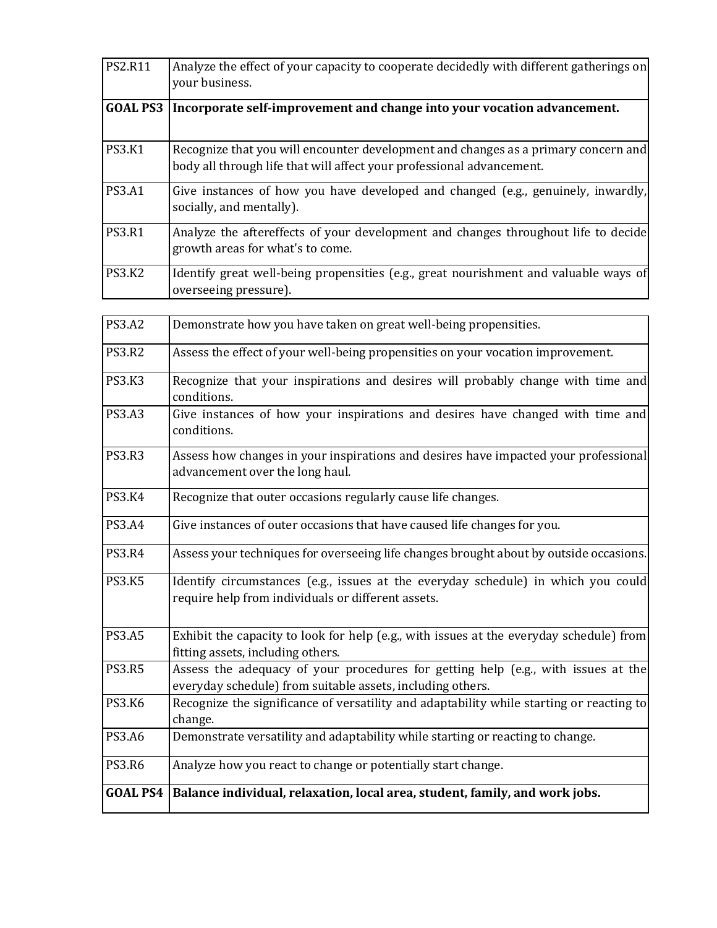| <b>PS2.R11</b>  | Analyze the effect of your capacity to cooperate decidedly with different gatherings on<br>your business.                                                   |
|-----------------|-------------------------------------------------------------------------------------------------------------------------------------------------------------|
| <b>GOAL PS3</b> | Incorporate self-improvement and change into your vocation advancement.                                                                                     |
| <b>PS3.K1</b>   | Recognize that you will encounter development and changes as a primary concern and<br>body all through life that will affect your professional advancement. |
| <b>PS3.A1</b>   | Give instances of how you have developed and changed (e.g., genuinely, inwardly,<br>socially, and mentally).                                                |
| <b>PS3.R1</b>   | Analyze the aftereffects of your development and changes throughout life to decide<br>growth areas for what's to come.                                      |
| <b>PS3.K2</b>   | Identify great well-being propensities (e.g., great nourishment and valuable ways of<br>overseeing pressure).                                               |

| <b>PS3.A2</b>   | Demonstrate how you have taken on great well-being propensities.                                                                                |
|-----------------|-------------------------------------------------------------------------------------------------------------------------------------------------|
| <b>PS3.R2</b>   | Assess the effect of your well-being propensities on your vocation improvement.                                                                 |
| <b>PS3.K3</b>   | Recognize that your inspirations and desires will probably change with time and<br>conditions.                                                  |
| <b>PS3.A3</b>   | Give instances of how your inspirations and desires have changed with time and<br>conditions.                                                   |
| <b>PS3.R3</b>   | Assess how changes in your inspirations and desires have impacted your professional<br>advancement over the long haul.                          |
| <b>PS3.K4</b>   | Recognize that outer occasions regularly cause life changes.                                                                                    |
| <b>PS3.A4</b>   | Give instances of outer occasions that have caused life changes for you.                                                                        |
| <b>PS3.R4</b>   | Assess your techniques for overseeing life changes brought about by outside occasions.                                                          |
| <b>PS3.K5</b>   | Identify circumstances (e.g., issues at the everyday schedule) in which you could<br>require help from individuals or different assets.         |
| <b>PS3.A5</b>   | Exhibit the capacity to look for help (e.g., with issues at the everyday schedule) from<br>fitting assets, including others.                    |
| <b>PS3.R5</b>   | Assess the adequacy of your procedures for getting help (e.g., with issues at the<br>everyday schedule) from suitable assets, including others. |
| <b>PS3.K6</b>   | Recognize the significance of versatility and adaptability while starting or reacting to<br>change.                                             |
| <b>PS3.A6</b>   | Demonstrate versatility and adaptability while starting or reacting to change.                                                                  |
| <b>PS3.R6</b>   | Analyze how you react to change or potentially start change.                                                                                    |
| <b>GOAL PS4</b> | Balance individual, relaxation, local area, student, family, and work jobs.                                                                     |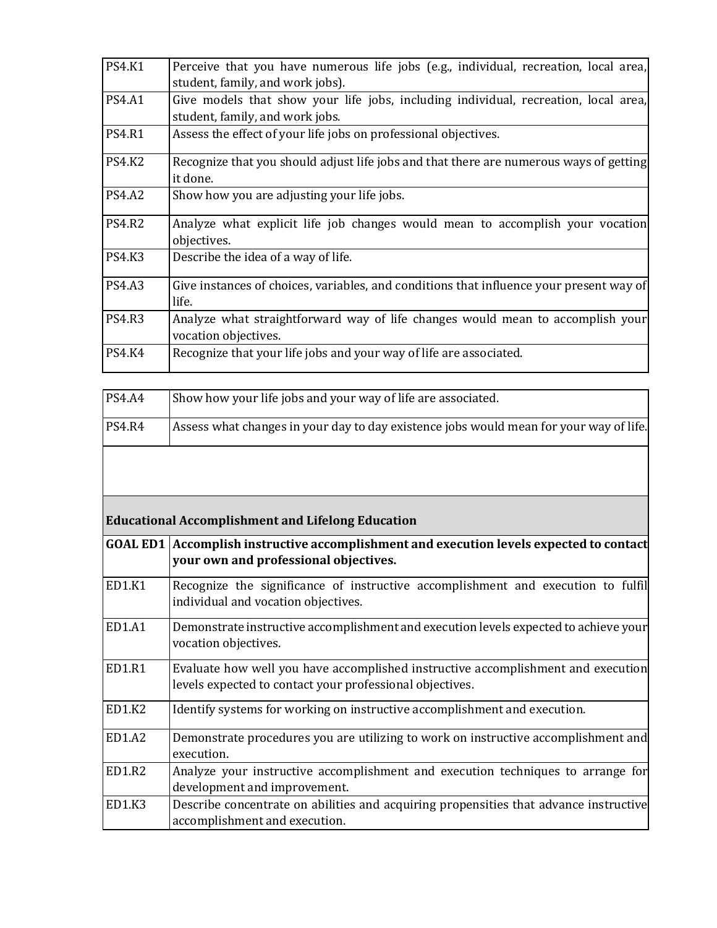| <b>PS4.K1</b> | Perceive that you have numerous life jobs (e.g., individual, recreation, local area,<br>student, family, and work jobs). |
|---------------|--------------------------------------------------------------------------------------------------------------------------|
| <b>PS4.A1</b> | Give models that show your life jobs, including individual, recreation, local area,                                      |
|               | student, family, and work jobs.                                                                                          |
| <b>PS4.R1</b> | Assess the effect of your life jobs on professional objectives.                                                          |
| <b>PS4.K2</b> | Recognize that you should adjust life jobs and that there are numerous ways of getting<br>it done.                       |
| <b>PS4.A2</b> | Show how you are adjusting your life jobs.                                                                               |
| <b>PS4.R2</b> | Analyze what explicit life job changes would mean to accomplish your vocation<br>objectives.                             |
| <b>PS4.K3</b> | Describe the idea of a way of life.                                                                                      |
| <b>PS4.A3</b> | Give instances of choices, variables, and conditions that influence your present way of<br>life.                         |
| <b>PS4.R3</b> | Analyze what straightforward way of life changes would mean to accomplish your<br>vocation objectives.                   |
| <b>PS4.K4</b> | Recognize that your life jobs and your way of life are associated.                                                       |

| <b>PS4.A4</b> | Show how your life jobs and your way of life are associated.                                                                                 |
|---------------|----------------------------------------------------------------------------------------------------------------------------------------------|
| <b>PS4.R4</b> | Assess what changes in your day to day existence jobs would mean for your way of life.                                                       |
|               |                                                                                                                                              |
|               |                                                                                                                                              |
|               |                                                                                                                                              |
|               | <b>Educational Accomplishment and Lifelong Education</b>                                                                                     |
|               | GOAL ED1 Accomplish instructive accomplishment and execution levels expected to contact<br>your own and professional objectives.             |
| ED1.K1        | Recognize the significance of instructive accomplishment and execution to fulfil<br>individual and vocation objectives.                      |
| ED1.A1        | Demonstrate instructive accomplishment and execution levels expected to achieve your<br>vocation objectives.                                 |
| <b>ED1.R1</b> | Evaluate how well you have accomplished instructive accomplishment and execution<br>levels expected to contact your professional objectives. |
| ED1.K2        | Identify systems for working on instructive accomplishment and execution.                                                                    |
| ED1.A2        | Demonstrate procedures you are utilizing to work on instructive accomplishment and<br>execution.                                             |
| ED1.R2        | Analyze your instructive accomplishment and execution techniques to arrange for                                                              |
|               | development and improvement.                                                                                                                 |
| <b>ED1.K3</b> | Describe concentrate on abilities and acquiring propensities that advance instructive<br>accomplishment and execution.                       |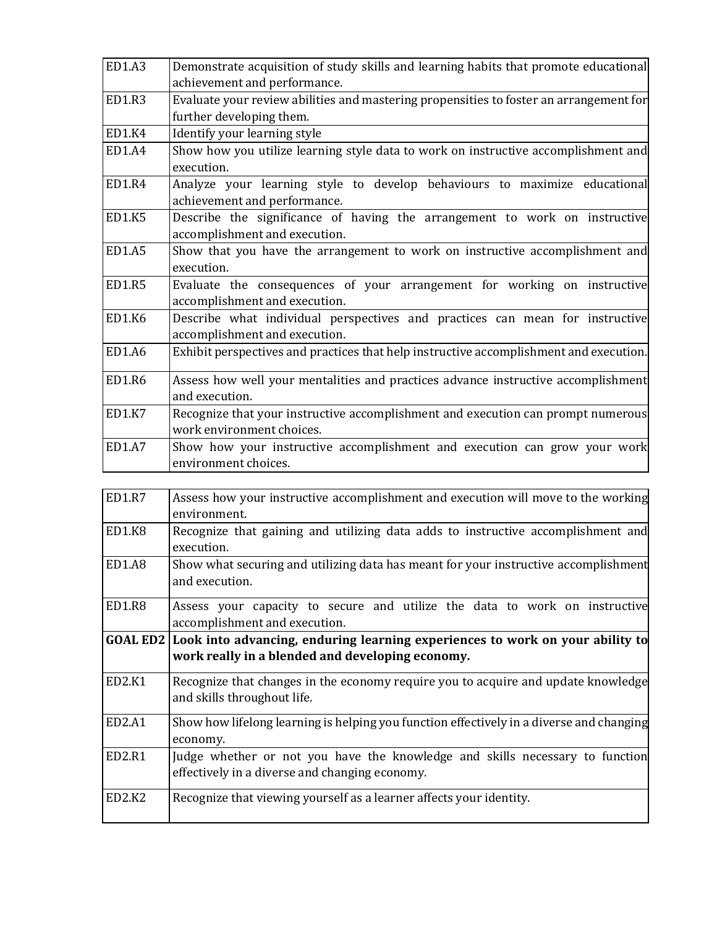| ED1.A3 | Demonstrate acquisition of study skills and learning habits that promote educational                          |
|--------|---------------------------------------------------------------------------------------------------------------|
|        | achievement and performance.                                                                                  |
| ED1.R3 | Evaluate your review abilities and mastering propensities to foster an arrangement for                        |
|        | further developing them.                                                                                      |
| ED1.K4 | Identify your learning style                                                                                  |
| ED1.A4 | Show how you utilize learning style data to work on instructive accomplishment and<br>execution.              |
| ED1.R4 | Analyze your learning style to develop behaviours to maximize educational<br>achievement and performance.     |
| ED1.K5 | Describe the significance of having the arrangement to work on instructive<br>accomplishment and execution.   |
| ED1.A5 | Show that you have the arrangement to work on instructive accomplishment and<br>execution.                    |
| ED1.R5 | Evaluate the consequences of your arrangement for working on instructive<br>accomplishment and execution.     |
| ED1.K6 | Describe what individual perspectives and practices can mean for instructive<br>accomplishment and execution. |
| ED1.A6 | Exhibit perspectives and practices that help instructive accomplishment and execution.                        |
| ED1.R6 | Assess how well your mentalities and practices advance instructive accomplishment<br>and execution.           |
| ED1.K7 | Recognize that your instructive accomplishment and execution can prompt numerous<br>work environment choices. |
| ED1.A7 | Show how your instructive accomplishment and execution can grow your work<br>environment choices.             |

| ED1.R7 | Assess how your instructive accomplishment and execution will move to the working<br>environment.                                          |
|--------|--------------------------------------------------------------------------------------------------------------------------------------------|
| ED1.K8 | Recognize that gaining and utilizing data adds to instructive accomplishment and<br>execution.                                             |
| ED1.A8 | Show what securing and utilizing data has meant for your instructive accomplishment<br>and execution.                                      |
| ED1.R8 | Assess your capacity to secure and utilize the data to work on instructive<br>accomplishment and execution.                                |
|        | GOAL ED2 Look into advancing, enduring learning experiences to work on your ability to<br>work really in a blended and developing economy. |
| ED2.K1 | Recognize that changes in the economy require you to acquire and update knowledge<br>and skills throughout life.                           |
| ED2.A1 | Show how lifelong learning is helping you function effectively in a diverse and changing<br>economy.                                       |
| ED2.R1 | Judge whether or not you have the knowledge and skills necessary to function<br>effectively in a diverse and changing economy.             |
| ED2.K2 | Recognize that viewing yourself as a learner affects your identity.                                                                        |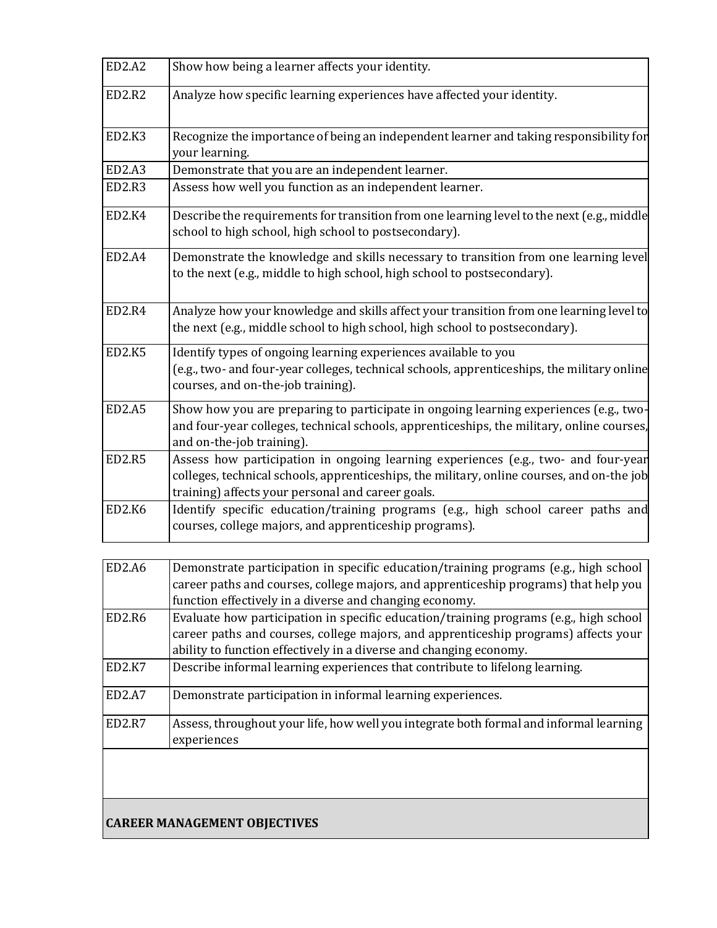| <b>ED2.A2</b> | Show how being a learner affects your identity.                                                                                                                                                                                       |
|---------------|---------------------------------------------------------------------------------------------------------------------------------------------------------------------------------------------------------------------------------------|
| <b>ED2.R2</b> | Analyze how specific learning experiences have affected your identity.                                                                                                                                                                |
| ED2.K3        | Recognize the importance of being an independent learner and taking responsibility for<br>your learning.                                                                                                                              |
| ED2.A3        | Demonstrate that you are an independent learner.                                                                                                                                                                                      |
| <b>ED2.R3</b> | Assess how well you function as an independent learner.                                                                                                                                                                               |
| <b>ED2.K4</b> | Describe the requirements for transition from one learning level to the next (e.g., middle<br>school to high school, high school to postsecondary).                                                                                   |
| ED2.A4        | Demonstrate the knowledge and skills necessary to transition from one learning level<br>to the next (e.g., middle to high school, high school to postsecondary).                                                                      |
| ED2.R4        | Analyze how your knowledge and skills affect your transition from one learning level to<br>the next (e.g., middle school to high school, high school to postsecondary).                                                               |
| <b>ED2.K5</b> | Identify types of ongoing learning experiences available to you<br>(e.g., two- and four-year colleges, technical schools, apprenticeships, the military online<br>courses, and on-the-job training).                                  |
| <b>ED2.A5</b> | Show how you are preparing to participate in ongoing learning experiences (e.g., two-<br>and four-year colleges, technical schools, apprenticeships, the military, online courses,<br>and on-the-job training).                       |
| <b>ED2.R5</b> | Assess how participation in ongoing learning experiences (e.g., two- and four-year<br>colleges, technical schools, apprenticeships, the military, online courses, and on-the job<br>training) affects your personal and career goals. |
| ED2.K6        | Identify specific education/training programs (e.g., high school career paths and<br>courses, college majors, and apprenticeship programs).                                                                                           |

| ED2.A6                          | Demonstrate participation in specific education/training programs (e.g., high school   |
|---------------------------------|----------------------------------------------------------------------------------------|
|                                 | career paths and courses, college majors, and apprenticeship programs) that help you   |
|                                 | function effectively in a diverse and changing economy.                                |
| ED2.R6                          | Evaluate how participation in specific education/training programs (e.g., high school  |
|                                 | career paths and courses, college majors, and apprenticeship programs) affects your    |
|                                 | ability to function effectively in a diverse and changing economy.                     |
| ED2.K7                          | Describe informal learning experiences that contribute to lifelong learning.           |
| ED <sub>2</sub> .A <sub>7</sub> | Demonstrate participation in informal learning experiences.                            |
| ED <sub>2</sub> .R <sub>7</sub> | Assess, throughout your life, how well you integrate both formal and informal learning |
|                                 | experiences                                                                            |
|                                 |                                                                                        |

# **CAREER MANAGEMENT OBJECTIVES**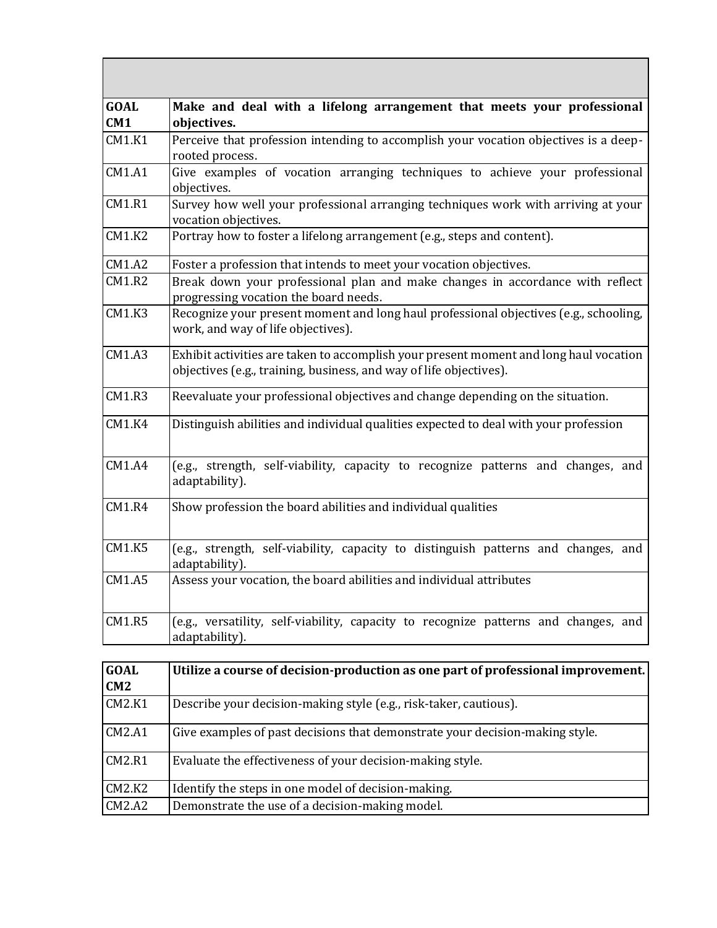| <b>GOAL</b><br>CM1 | Make and deal with a lifelong arrangement that meets your professional<br>objectives.                                                                       |
|--------------------|-------------------------------------------------------------------------------------------------------------------------------------------------------------|
| CM1.K1             | Perceive that profession intending to accomplish your vocation objectives is a deep-<br>rooted process.                                                     |
| CM1.A1             | Give examples of vocation arranging techniques to achieve your professional<br>objectives.                                                                  |
| <b>CM1.R1</b>      | Survey how well your professional arranging techniques work with arriving at your<br>vocation objectives.                                                   |
| CM1.K2             | Portray how to foster a lifelong arrangement (e.g., steps and content).                                                                                     |
| CM1.A2             | Foster a profession that intends to meet your vocation objectives.                                                                                          |
| CM1.R2             | Break down your professional plan and make changes in accordance with reflect<br>progressing vocation the board needs.                                      |
| CM1.K3             | Recognize your present moment and long haul professional objectives (e.g., schooling,<br>work, and way of life objectives).                                 |
| <b>CM1.A3</b>      | Exhibit activities are taken to accomplish your present moment and long haul vocation<br>objectives (e.g., training, business, and way of life objectives). |
| CM1.R3             | Reevaluate your professional objectives and change depending on the situation.                                                                              |
| CM1.K4             | Distinguish abilities and individual qualities expected to deal with your profession                                                                        |
| <b>CM1.A4</b>      | (e.g., strength, self-viability, capacity to recognize patterns and changes, and<br>adaptability).                                                          |
| <b>CM1.R4</b>      | Show profession the board abilities and individual qualities                                                                                                |
| CM1.K5             | (e.g., strength, self-viability, capacity to distinguish patterns and changes, and<br>adaptability).                                                        |
| CM1.A5             | Assess your vocation, the board abilities and individual attributes                                                                                         |
| CM1.R5             | (e.g., versatility, self-viability, capacity to recognize patterns and changes, and<br>adaptability).                                                       |

J.

<u> Tanzania de la contrada de la contrada de la contrada de la contrada de la contrada de la contrada de la con</u>

| <b>GOAL</b>   | Utilize a course of decision-production as one part of professional improvement. |
|---------------|----------------------------------------------------------------------------------|
| CM2           |                                                                                  |
| <b>CM2.K1</b> | Describe your decision-making style (e.g., risk-taker, cautious).                |
| CM2.A1        | Give examples of past decisions that demonstrate your decision-making style.     |
| CM2.R1        | Evaluate the effectiveness of your decision-making style.                        |
| CM2.K2        | Identify the steps in one model of decision-making.                              |
| CM2.A2        | Demonstrate the use of a decision-making model.                                  |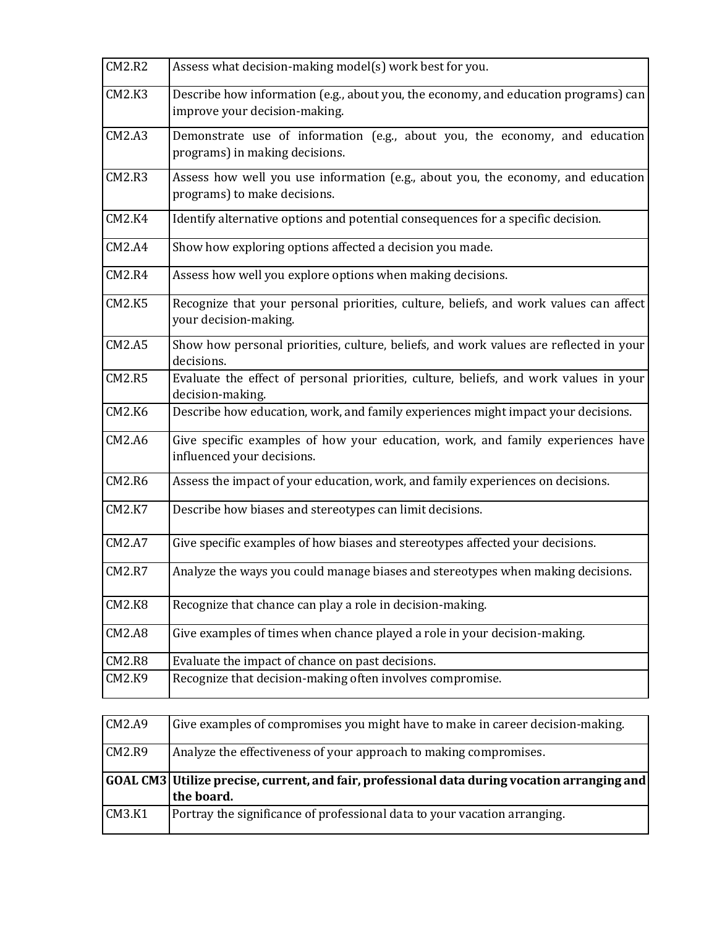| CM2.R2        | Assess what decision-making model(s) work best for you.                                                              |
|---------------|----------------------------------------------------------------------------------------------------------------------|
| CM2.K3        | Describe how information (e.g., about you, the economy, and education programs) can<br>improve your decision-making. |
| CM2.A3        | Demonstrate use of information (e.g., about you, the economy, and education<br>programs) in making decisions.        |
| CM2.R3        | Assess how well you use information (e.g., about you, the economy, and education<br>programs) to make decisions.     |
| <b>CM2.K4</b> | Identify alternative options and potential consequences for a specific decision.                                     |
| CM2.A4        | Show how exploring options affected a decision you made.                                                             |
| CM2.R4        | Assess how well you explore options when making decisions.                                                           |
| CM2.K5        | Recognize that your personal priorities, culture, beliefs, and work values can affect<br>your decision-making.       |
| CM2.A5        | Show how personal priorities, culture, beliefs, and work values are reflected in your<br>decisions.                  |
| CM2.R5        | Evaluate the effect of personal priorities, culture, beliefs, and work values in your<br>decision-making.            |
| <b>CM2.K6</b> | Describe how education, work, and family experiences might impact your decisions.                                    |
| CM2.A6        | Give specific examples of how your education, work, and family experiences have<br>influenced your decisions.        |
| <b>CM2.R6</b> | Assess the impact of your education, work, and family experiences on decisions.                                      |
| <b>CM2.K7</b> | Describe how biases and stereotypes can limit decisions.                                                             |
| CM2.A7        | Give specific examples of how biases and stereotypes affected your decisions.                                        |
| <b>CM2.R7</b> | Analyze the ways you could manage biases and stereotypes when making decisions.                                      |
| CM2.K8        | Recognize that chance can play a role in decision-making.                                                            |
| CM2.A8        | Give examples of times when chance played a role in your decision-making.                                            |
| CM2.R8        | Evaluate the impact of chance on past decisions.                                                                     |
| CM2.K9        | Recognize that decision-making often involves compromise.                                                            |

| CM2.A9 | Give examples of compromises you might have to make in career decision-making.                                         |
|--------|------------------------------------------------------------------------------------------------------------------------|
| CM2.R9 | Analyze the effectiveness of your approach to making compromises.                                                      |
|        |                                                                                                                        |
|        |                                                                                                                        |
|        | $ $ GOAL CM3 $ $ Utilize precise, current, and fair, professional data during vocation arranging and $ $<br>the board. |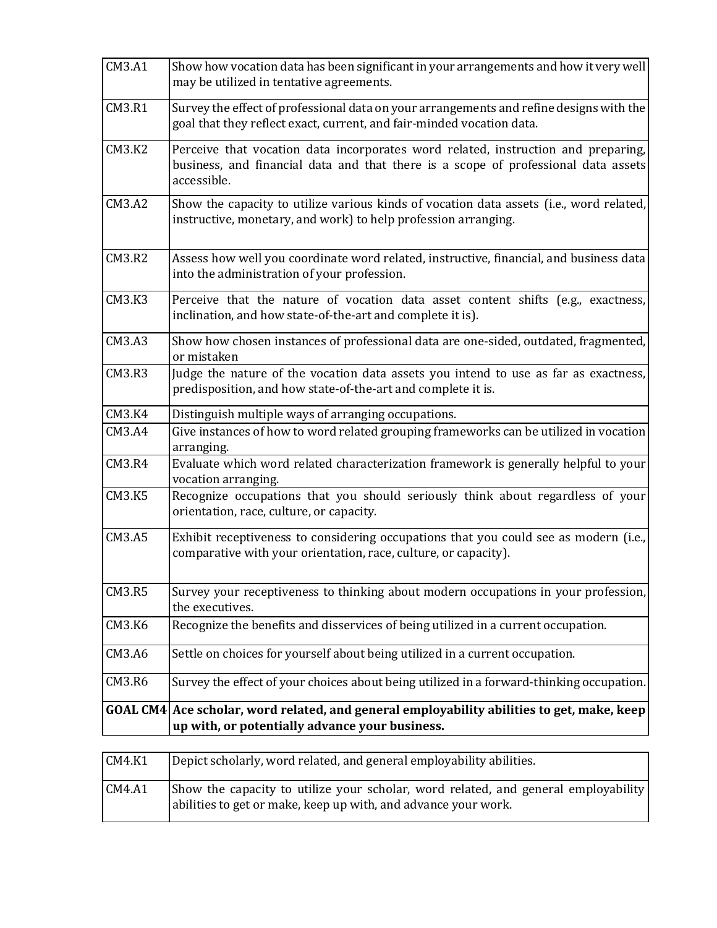| CM3.A1        | Show how vocation data has been significant in your arrangements and how it very well<br>may be utilized in tentative agreements.                                                      |
|---------------|----------------------------------------------------------------------------------------------------------------------------------------------------------------------------------------|
| <b>CM3.R1</b> | Survey the effect of professional data on your arrangements and refine designs with the<br>goal that they reflect exact, current, and fair-minded vocation data.                       |
| CM3.K2        | Perceive that vocation data incorporates word related, instruction and preparing,<br>business, and financial data and that there is a scope of professional data assets<br>accessible. |
| CM3.A2        | Show the capacity to utilize various kinds of vocation data assets (i.e., word related,<br>instructive, monetary, and work) to help profession arranging.                              |
| CM3.R2        | Assess how well you coordinate word related, instructive, financial, and business data<br>into the administration of your profession.                                                  |
| CM3.K3        | Perceive that the nature of vocation data asset content shifts (e.g., exactness,<br>inclination, and how state-of-the-art and complete it is).                                         |
| CM3.A3        | Show how chosen instances of professional data are one-sided, outdated, fragmented,<br>or mistaken                                                                                     |
| CM3.R3        | Judge the nature of the vocation data assets you intend to use as far as exactness,<br>predisposition, and how state-of-the-art and complete it is.                                    |
| CM3.K4        | Distinguish multiple ways of arranging occupations.                                                                                                                                    |
| <b>CM3.A4</b> | Give instances of how to word related grouping frameworks can be utilized in vocation<br>arranging.                                                                                    |
| <b>CM3.R4</b> | Evaluate which word related characterization framework is generally helpful to your<br>vocation arranging.                                                                             |
| CM3.K5        | Recognize occupations that you should seriously think about regardless of your<br>orientation, race, culture, or capacity.                                                             |
| CM3.A5        | Exhibit receptiveness to considering occupations that you could see as modern (i.e.,<br>comparative with your orientation, race, culture, or capacity).                                |
| CM3.R5        | Survey your receptiveness to thinking about modern occupations in your profession,<br>the executives.                                                                                  |
| CM3.K6        | Recognize the benefits and disservices of being utilized in a current occupation.                                                                                                      |
| CM3.A6        | Settle on choices for yourself about being utilized in a current occupation.                                                                                                           |
| CM3.R6        | Survey the effect of your choices about being utilized in a forward-thinking occupation.                                                                                               |
|               | GOAL CM4 Ace scholar, word related, and general employability abilities to get, make, keep<br>up with, or potentially advance your business.                                           |

| CM4.K1 | Depict scholarly, word related, and general employability abilities.                                                                                 |
|--------|------------------------------------------------------------------------------------------------------------------------------------------------------|
| CM4.A1 | Show the capacity to utilize your scholar, word related, and general employability<br>abilities to get or make, keep up with, and advance your work. |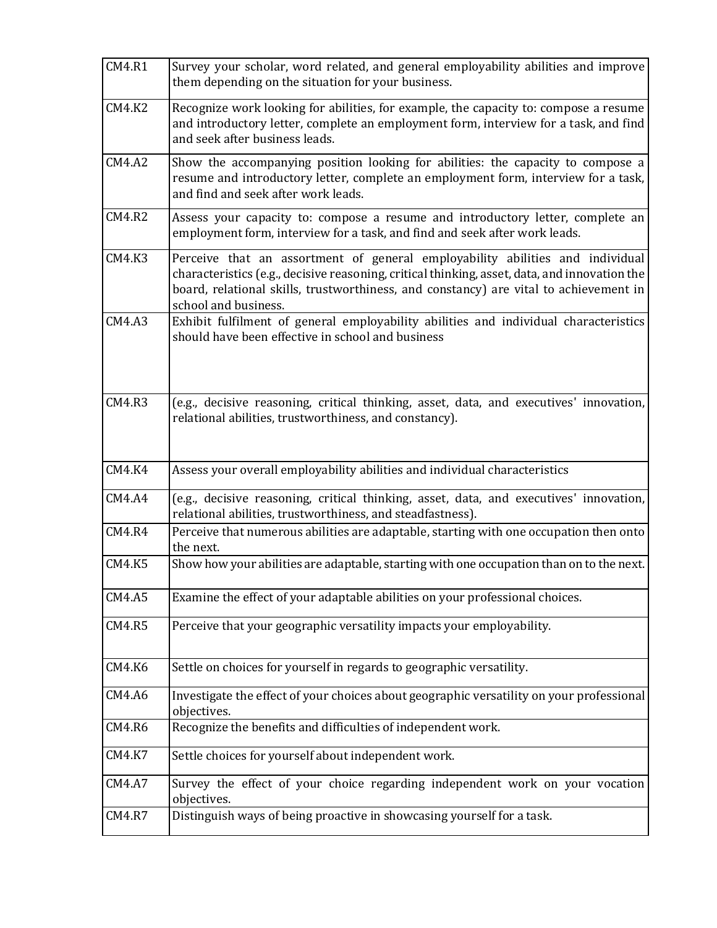| <b>CM4.R1</b> | Survey your scholar, word related, and general employability abilities and improve<br>them depending on the situation for your business.                                                                                                                                                        |
|---------------|-------------------------------------------------------------------------------------------------------------------------------------------------------------------------------------------------------------------------------------------------------------------------------------------------|
| <b>CM4.K2</b> | Recognize work looking for abilities, for example, the capacity to: compose a resume<br>and introductory letter, complete an employment form, interview for a task, and find<br>and seek after business leads.                                                                                  |
| CM4.A2        | Show the accompanying position looking for abilities: the capacity to compose a<br>resume and introductory letter, complete an employment form, interview for a task,<br>and find and seek after work leads.                                                                                    |
| <b>CM4.R2</b> | Assess your capacity to: compose a resume and introductory letter, complete an<br>employment form, interview for a task, and find and seek after work leads.                                                                                                                                    |
| CM4.K3        | Perceive that an assortment of general employability abilities and individual<br>characteristics (e.g., decisive reasoning, critical thinking, asset, data, and innovation the<br>board, relational skills, trustworthiness, and constancy) are vital to achievement in<br>school and business. |
| CM4.A3        | Exhibit fulfilment of general employability abilities and individual characteristics<br>should have been effective in school and business                                                                                                                                                       |
| <b>CM4.R3</b> | (e.g., decisive reasoning, critical thinking, asset, data, and executives' innovation,<br>relational abilities, trustworthiness, and constancy).                                                                                                                                                |
| <b>CM4.K4</b> | Assess your overall employability abilities and individual characteristics                                                                                                                                                                                                                      |
| <b>CM4.A4</b> | (e.g., decisive reasoning, critical thinking, asset, data, and executives' innovation,<br>relational abilities, trustworthiness, and steadfastness).                                                                                                                                            |
| <b>CM4.R4</b> | Perceive that numerous abilities are adaptable, starting with one occupation then onto<br>the next.                                                                                                                                                                                             |
| <b>CM4.K5</b> | Show how your abilities are adaptable, starting with one occupation than on to the next.                                                                                                                                                                                                        |
| CM4.A5        | Examine the effect of your adaptable abilities on your professional choices.                                                                                                                                                                                                                    |
| CM4.R5        | Perceive that your geographic versatility impacts your employability.                                                                                                                                                                                                                           |
| <b>CM4.K6</b> | Settle on choices for yourself in regards to geographic versatility.                                                                                                                                                                                                                            |
| <b>CM4.A6</b> | Investigate the effect of your choices about geographic versatility on your professional<br>objectives.                                                                                                                                                                                         |
| <b>CM4.R6</b> | Recognize the benefits and difficulties of independent work.                                                                                                                                                                                                                                    |
| CM4.K7        | Settle choices for yourself about independent work.                                                                                                                                                                                                                                             |
| CM4.A7        | Survey the effect of your choice regarding independent work on your vocation<br>objectives.                                                                                                                                                                                                     |
| CM4.R7        | Distinguish ways of being proactive in showcasing yourself for a task.                                                                                                                                                                                                                          |